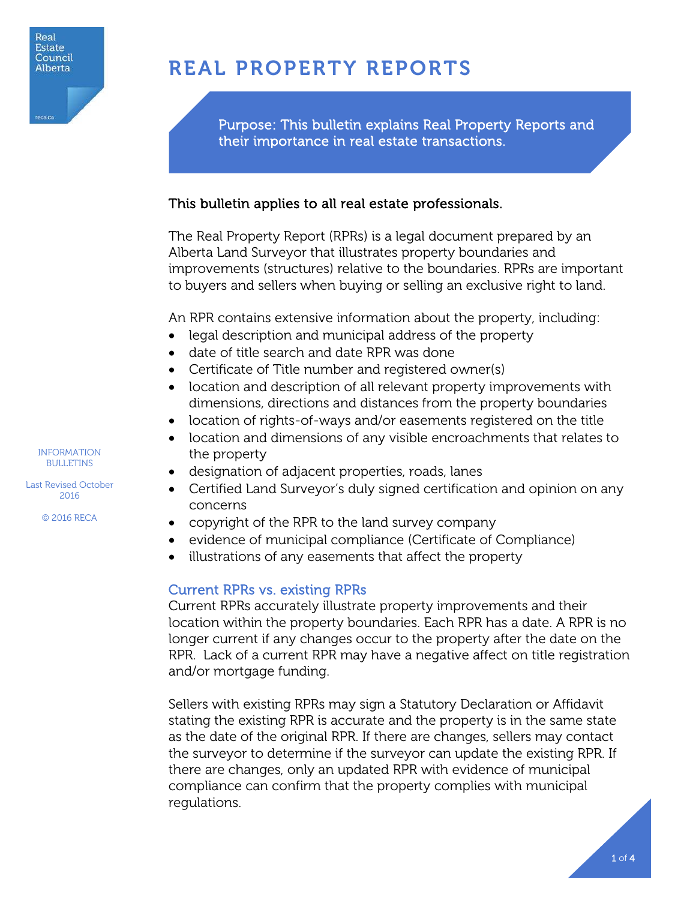

# REAL PROPERTY REPORTS

Purpose: This bulletin explains Real Property Reports and their importance in real estate transactions.

# This bulletin applies to all real estate professionals.

The Real Property Report (RPRs) is a legal document prepared by an Alberta Land Surveyor that illustrates property boundaries and improvements (structures) relative to the boundaries. RPRs are important to buyers and sellers when buying or selling an exclusive right to land.

An RPR contains extensive information about the property, including:

- legal description and municipal address of the property
- date of title search and date RPR was done
- Certificate of Title number and registered owner(s)
- location and description of all relevant property improvements with dimensions, directions and distances from the property boundaries
- location of rights-of-ways and/or easements registered on the title
- location and dimensions of any visible encroachments that relates to the property
- designation of adjacent properties, roads, lanes
- Certified Land Surveyor's duly signed certification and opinion on any concerns
- copyright of the RPR to the land survey company
- evidence of municipal compliance (Certificate of Compliance)
- illustrations of any easements that affect the property

## Current RPRs vs. existing RPRs

Current RPRs accurately illustrate property improvements and their location within the property boundaries. Each RPR has a date. A RPR is no longer current if any changes occur to the property after the date on the RPR. Lack of a current RPR may have a negative affect on title registration and/or mortgage funding.

Sellers with existing RPRs may sign a Statutory Declaration or Affidavit stating the existing RPR is accurate and the property is in the same state as the date of the original RPR. If there are changes, sellers may contact the surveyor to determine if the surveyor can update the existing RPR. If there are changes, only an updated RPR with evidence of municipal compliance can confirm that the property complies with municipal regulations.

INFORMATION BULLETINS

Last Revised October 2016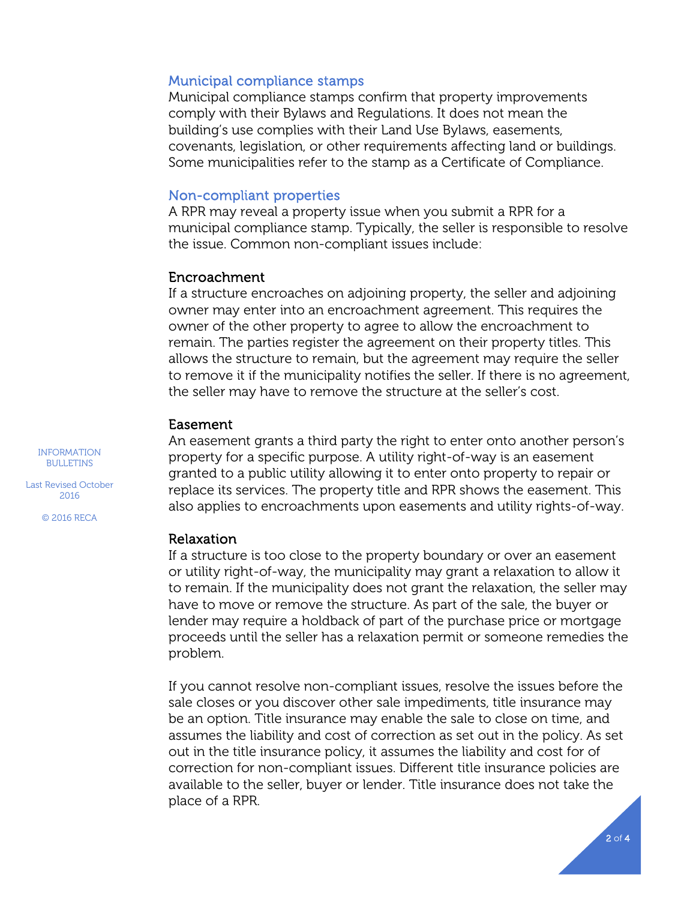#### Municipal compliance stamps

Municipal compliance stamps confirm that property improvements comply with their Bylaws and Regulations. It does not mean the building's use complies with their Land Use Bylaws, easements, covenants, legislation, or other requirements affecting land or buildings. Some municipalities refer to the stamp as a Certificate of Compliance.

#### Non-compliant properties

A RPR may reveal a property issue when you submit a RPR for a municipal compliance stamp. Typically, the seller is responsible to resolve the issue. Common non-compliant issues include:

#### Encroachment

If a structure encroaches on adjoining property, the seller and adjoining owner may enter into an encroachment agreement. This requires the owner of the other property to agree to allow the encroachment to remain. The parties register the agreement on their property titles. This allows the structure to remain, but the agreement may require the seller to remove it if the municipality notifies the seller. If there is no agreement, the seller may have to remove the structure at the seller's cost.

#### Easement

An easement grants a third party the right to enter onto another person's property for a specific purpose. A utility right-of-way is an easement granted to a public utility allowing it to enter onto property to repair or replace its services. The property title and RPR shows the easement. This also applies to encroachments upon easements and utility rights-of-way.

#### Relaxation

If a structure is too close to the property boundary or over an easement or utility right-of-way, the municipality may grant a relaxation to allow it to remain. If the municipality does not grant the relaxation, the seller may have to move or remove the structure. As part of the sale, the buyer or lender may require a holdback of part of the purchase price or mortgage proceeds until the seller has a relaxation permit or someone remedies the problem.

If you cannot resolve non-compliant issues, resolve the issues before the sale closes or you discover other sale impediments, title insurance may be an option. Title insurance may enable the sale to close on time, and assumes the liability and cost of correction as set out in the policy. As set out in the title insurance policy, it assumes the liability and cost for of correction for non-compliant issues. Different title insurance policies are available to the seller, buyer or lender. Title insurance does not take the place of a RPR.

INFORMATION BULLETINS

Last Revised October 2016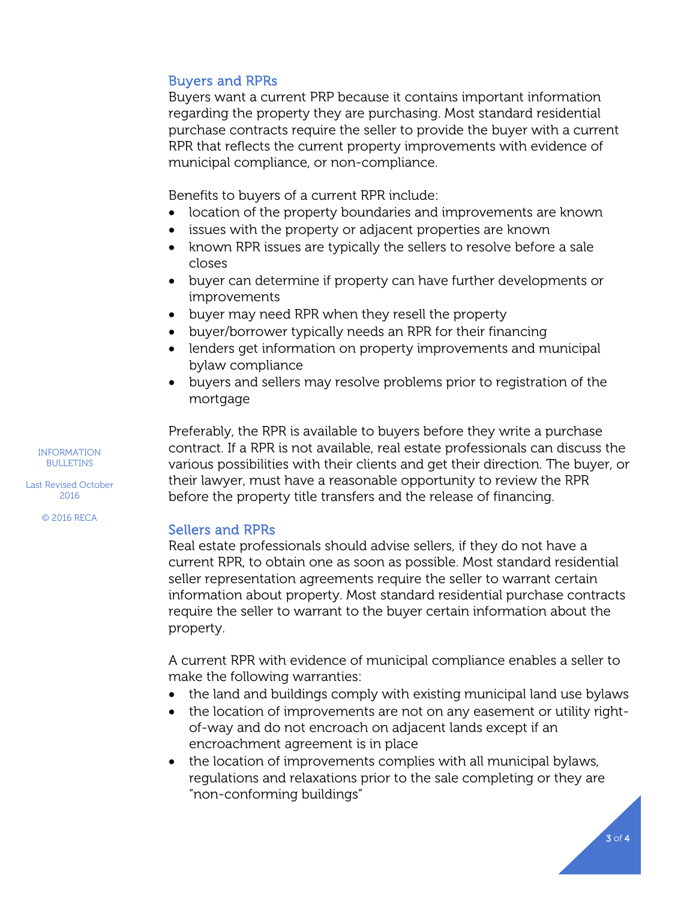### Buyers and RPRs

Buyers want a current PRP because it contains important information regarding the property they are purchasing. Most standard residential purchase contracts require the seller to provide the buyer with a current RPR that reflects the current property improvements with evidence of municipal compliance, or non-compliance.

Benefits to buyers of a current RPR include:

- location of the property boundaries and improvements are known
- issues with the property or adjacent properties are known
- known RPR issues are typically the sellers to resolve before a sale closes
- buyer can determine if property can have further developments or improvements
- buyer may need RPR when they resell the property
- buyer/borrower typically needs an RPR for their financing
- lenders get information on property improvements and municipal bylaw compliance
- buyers and sellers may resolve problems prior to registration of the mortgage

Preferably, the RPR is available to buyers before they write a purchase contract. If a RPR is not available, real estate professionals can discuss the various possibilities with their clients and get their direction. The buyer, or their lawyer, must have a reasonable opportunity to review the RPR before the property title transfers and the release of financing.

#### Sellers and RPRs

Real estate professionals should advise sellers, if they do not have a current RPR, to obtain one as soon as possible. Most standard residential seller representation agreements require the seller to warrant certain information about property. Most standard residential purchase contracts require the seller to warrant to the buyer certain information about the property.

A current RPR with evidence of municipal compliance enables a seller to make the following warranties:

- the land and buildings comply with existing municipal land use bylaws
- the location of improvements are not on any easement or utility rightof-way and do not encroach on adjacent lands except if an encroachment agreement is in place
- the location of improvements complies with all municipal bylaws, regulations and relaxations prior to the sale completing or they are "non-conforming buildings"

INFORMATION BULLETINS

Last Revised October 2016